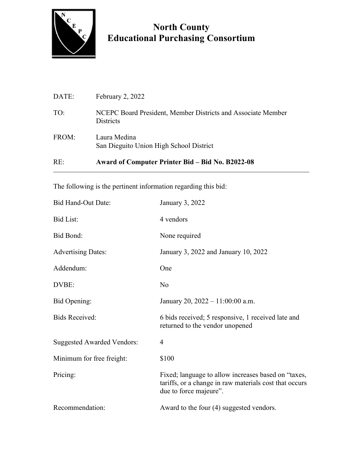

## North County Educational Purchasing Consortium

| RE:   | Award of Computer Printer Bid – Bid No. B2022-08                                 |
|-------|----------------------------------------------------------------------------------|
| FROM: | Laura Medina<br>San Dieguito Union High School District                          |
| TO:   | NCEPC Board President, Member Districts and Associate Member<br><b>Districts</b> |
| DATE: | February 2, 2022                                                                 |

The following is the pertinent information regarding this bid:

| Bid Hand-Out Date:                | January 3, 2022                                                                                                                         |
|-----------------------------------|-----------------------------------------------------------------------------------------------------------------------------------------|
| <b>Bid List:</b>                  | 4 vendors                                                                                                                               |
| Bid Bond:                         | None required                                                                                                                           |
| <b>Advertising Dates:</b>         | January 3, 2022 and January 10, 2022                                                                                                    |
| Addendum:                         | One                                                                                                                                     |
| DVBE:                             | N <sub>o</sub>                                                                                                                          |
| Bid Opening:                      | January 20, 2022 - 11:00:00 a.m.                                                                                                        |
| <b>Bids Received:</b>             | 6 bids received; 5 responsive, 1 received late and<br>returned to the vendor unopened                                                   |
| <b>Suggested Awarded Vendors:</b> | 4                                                                                                                                       |
| Minimum for free freight:         | \$100                                                                                                                                   |
| Pricing:                          | Fixed; language to allow increases based on "taxes,<br>tariffs, or a change in raw materials cost that occurs<br>due to force majeure". |
| Recommendation:                   | Award to the four (4) suggested vendors.                                                                                                |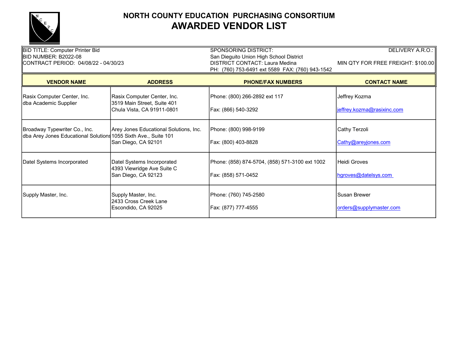

## NORTH COUNTY EDUCATION PURCHASING CONSORTIUM AWARDED VENDOR LIST

| <b>BID TITLE: Computer Printer Bid</b>                                                           |                                                               | <b>SPONSORING DISTRICT:</b>                                                      | DELIVERY A.R.O.:                     |
|--------------------------------------------------------------------------------------------------|---------------------------------------------------------------|----------------------------------------------------------------------------------|--------------------------------------|
| BID NUMBER: B2022-08                                                                             |                                                               | San Dieguito Union High School District<br><b>DISTRICT CONTACT: Laura Medina</b> |                                      |
| CONTRACT PERIOD: 04/08/22 - 04/30/23                                                             |                                                               | PH: (760) 753-6491 ext 5589 FAX: (760) 943-1542                                  | MIN QTY FOR FREE FREIGHT: \$100.00   |
|                                                                                                  |                                                               |                                                                                  |                                      |
| <b>VENDOR NAME</b>                                                                               | <b>ADDRESS</b>                                                | <b>PHONE/FAX NUMBERS</b>                                                         | <b>CONTACT NAME</b>                  |
| Rasix Computer Center, Inc.<br>dba Academic Supplier                                             | Rasix Computer Center, Inc.<br>3519 Main Street, Suite 401    | Phone: (800) 266-2892 ext 117                                                    | Jeffrey Kozma                        |
|                                                                                                  | Chula Vista, CA 91911-0801                                    | Fax: (866) 540-3292                                                              | jeffrey.kozma@rasixinc.com           |
| Broadway Typewriter Co., Inc.<br>dba Arey Jones Educational Solutions 1055 Sixth Ave., Suite 101 | Arey Jones Educational Solutions, Inc.<br>San Diego, CA 92101 | Phone: (800) 998-9199<br>Fax: (800) 403-8828                                     | Cathy Terzoli<br>Cathy@areyjones.com |
|                                                                                                  |                                                               |                                                                                  |                                      |
| Datel Systems Incorporated                                                                       | Datel Systems Incorporated<br>4393 Viewridge Ave Suite C      | Phone: (858) 874-5704, (858) 571-3100 ext 1002                                   | Heidi Groves                         |
|                                                                                                  | San Diego, CA 92123                                           | Fax: (858) 571-0452                                                              | hgroves@datelsys.com                 |
| Supply Master, Inc.                                                                              | Supply Master, Inc.                                           | Phone: (760) 745-2580                                                            | <b>Susan Brewer</b>                  |
|                                                                                                  | 2433 Cross Creek Lane<br>Escondido, CA 92025                  | Fax: (877) 777-4555                                                              | orders@supplymaster.com              |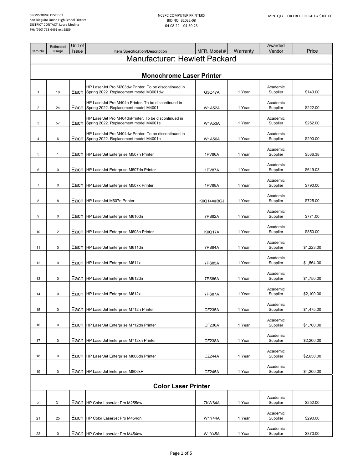| Item No.       | Estimated<br>Usage | Unit of<br><b>Issue</b> | Item Specification/Description                                                                       | MFR. Model #  | Warranty | Awarded<br>Vendor    | Price      |
|----------------|--------------------|-------------------------|------------------------------------------------------------------------------------------------------|---------------|----------|----------------------|------------|
|                |                    |                         | <b>Manufacturer: Hewlett Packard</b>                                                                 |               |          |                      |            |
|                |                    |                         |                                                                                                      |               |          |                      |            |
|                |                    |                         | <b>Monochrome Laser Printer</b>                                                                      |               |          |                      |            |
| $\mathbf{1}$   | 18                 |                         | HP LaserJet Pro M203dw Printer. To be discontinued in<br>Each Spring 2022. Replacement model M3001dw | G3Q47A        | 1 Year   | Academic<br>Supplier | \$140.00   |
| $\overline{c}$ | 24                 |                         | HP LaserJet Pro M404n Printer. To be discontinued in<br>Each Spring 2022. Replacement model M4001    | <b>W1A52A</b> | 1 Year   | Academic<br>Supplier | \$222.00   |
| 3              | 57                 |                         | HP LaserJet Pro M404dnPrinter. To be discontinued in<br>Each Spring 2022. Replacement model M4001e   | <b>W1A53A</b> | 1 Year   | Academic<br>Supplier | \$252.00   |
| $\overline{4}$ | 6                  | Each                    | HP LaserJet Pro M404dw Printer. To be discontinued in<br>Spring 2022. Replacement model M4001e       | W1A56A        | 1 Year   | Academic<br>Supplier | \$290.00   |
| 5              | 1                  |                         | Each   HP LaserJet Enterprise M507n Printer                                                          | 1PV86A        | 1 Year   | Academic<br>Supplier | \$536.38   |
| 6              | 0                  |                         | Each HP LaserJet Enterprise M507dn Printer                                                           | 1PV87A        | 1 Year   | Academic<br>Supplier | \$619.03   |
| $\overline{7}$ | $\mathbf 0$        |                         | Each   HP LaserJet Enterprise M507x Printer                                                          | 1PV88A        | 1 Year   | Academic<br>Supplier | \$790.00   |
| 8              | 8                  |                         | Each   HP LaserJet M607n Printer                                                                     | K0Q14A#BGJ    | 1 Year   | Academic<br>Supplier | \$725.00   |
| 9              | $\mathbf 0$        |                         | Each   HP LaserJet Enterprise M610dn                                                                 | <b>7PS82A</b> | 1 Year   | Academic<br>Supplier | \$771.00   |
| 10             | $\sqrt{2}$         |                         | Each   HP LaserJet Enterprise M608n Printer                                                          | <b>K0Q17A</b> | 1 Year   | Academic<br>Supplier | \$850.00   |
| 11             | 0                  |                         | Each   HP LaserJet Enterprise M611dn                                                                 | <b>7PS84A</b> | 1 Year   | Academic<br>Supplier | \$1,223.00 |
| 12             | $\pmb{0}$          |                         | Each   HP LaserJet Enterprise M611x                                                                  | <b>7PS85A</b> | 1 Year   | Academic<br>Supplier | \$1,564.00 |
| 13             | $\pmb{0}$          |                         | Each   HP LaserJet Enterprise M612dn                                                                 | <b>7PS86A</b> | 1 Year   | Academic<br>Supplier | \$1,750.00 |
| 14             | $\mathbf 0$        |                         | Each   HP LaserJet Enterprise M612x                                                                  | <b>7PS87A</b> | 1 Year   | Academic<br>Supplier | \$2,100.00 |
| 15             | 0                  |                         | Each   HP LaserJet Enterprise M712n Printer                                                          | CF235A        | 1 Year   | Academic<br>Supplier | \$1,475.00 |
| 16             | $\pmb{0}$          |                         | Each   HP LaserJet Enterprise M712dn Printer                                                         | <b>CF236A</b> | 1 Year   | Academic<br>Supplier | \$1,700.00 |
| 17             | $\pmb{0}$          |                         | Each   HP LaserJet Enterprise M712xh Printer                                                         | <b>CF238A</b> | 1 Year   | Academic<br>Supplier | \$2,200.00 |
| 18             | $\pmb{0}$          |                         | Each   HP LaserJet Enterprise M806dn Printer                                                         | <b>CZ244A</b> | 1 Year   | Academic<br>Supplier | \$2,650.00 |
| 19             | $\pmb{0}$          |                         | Each   HP LaserJet Enterprise M806x+                                                                 | CZ245A        | 1 Year   | Academic<br>Supplier | \$4,200.00 |
|                |                    |                         | <b>Color Laser Printer</b>                                                                           |               |          |                      |            |
| 20             | 31                 |                         | Each   HP Color LaserJet Pro M255dw                                                                  | 7KW64A        | 1 Year   | Academic<br>Supplier | \$252.00   |
| 21             | 25                 |                         | Each   HP Color LaserJet Pro M454dn                                                                  | <b>W1Y44A</b> | 1 Year   | Academic<br>Supplier | \$290.00   |
| 22             | $\mathsf 0$        |                         | Each   HP Color LaserJet Pro M454dw                                                                  | W1Y45A        | 1 Year   | Academic<br>Supplier | \$370.00   |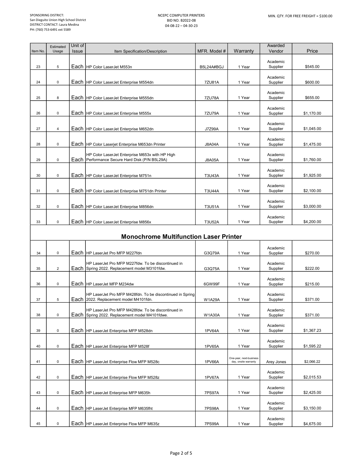Supplier \$2,015.53

Supplier | \$2,425.00

Supplier \$3,150.00

\$4,675.00

Academic

Academic

Academic<br>Supplier

|          | Estimated      | Unit of      |                                                           |               |                         | Awarded              |            |
|----------|----------------|--------------|-----------------------------------------------------------|---------------|-------------------------|----------------------|------------|
| Item No. | Usage          | <b>Issue</b> | Item Specification/Description                            | MFR. Model #  | Warranty                | Vendor               | Price      |
| 23       | 5              |              | Each   HP Color LaserJet M553n                            | B5L24A#BGJ    | 1 Year                  | Academic<br>Supplier | \$545.00   |
|          |                |              |                                                           |               |                         | Academic             |            |
| 24       | $\pmb{0}$      |              | Each   HP Color LaserJet Enterprise M554dn                | 7ZU81A        | 1 Year                  | Supplier             | \$600.00   |
|          |                |              |                                                           |               |                         | Academic             |            |
| 25       | 8              |              | Each   HP Color LaserJet Enterprise M555dn                | <b>7ZU78A</b> | 1 Year                  | Supplier             | \$655.00   |
|          |                |              |                                                           |               |                         | Academic             |            |
| 26       | $\pmb{0}$      |              | Each   HP Color LaserJet Enterprise M555x                 | <b>7ZU79A</b> | 1 Year                  | Supplier             | \$1,170.00 |
| 27       | 4              |              | Each   HP Color LaserJet Enterprise M652dn                | <b>J7Z99A</b> | 1 Year                  | Academic<br>Supplier | \$1,045.00 |
|          |                |              |                                                           |               |                         | Academic             |            |
| 28       | 0              |              | Each   HP Color Laserjet Enterprise M653dn Printer        | J8A04A        | 1 Year                  | Supplier             | \$1,475.00 |
|          |                |              | HP Color LaserJet Enterprise M653x with HP High           |               |                         | Academic             |            |
| 29       | 0              |              | Each   Performance Secure Hard Disk (P/N B5L29A)          | <b>J8A05A</b> | 1 Year                  | Supplier             | \$1,760.00 |
|          |                |              |                                                           |               |                         | Academic             |            |
| 30       | $\pmb{0}$      |              | Each   HP Color LaserJet Enterprise M751n                 | T3U43A        | 1 Year                  | Supplier             | \$1,925.00 |
|          |                |              |                                                           |               |                         | Academic             |            |
| 31       | $\pmb{0}$      |              | Each   HP Color LaserJet Enterprise M751dn Printer        | <b>T3U44A</b> | 1 Year                  | Supplier             | \$2,100.00 |
|          |                |              |                                                           |               |                         | Academic             |            |
| 32       | $\pmb{0}$      |              | Each   HP Color LaserJet Enterprise M856dn                | <b>T3U51A</b> | 1 Year                  | Supplier             | \$3,000.00 |
|          |                |              |                                                           |               |                         | Academic             |            |
| 33       | 0              |              | Each   HP Color LaserJet Enterprise M856x                 | <b>T3U52A</b> | 1 Year                  | Supplier             | \$4,200.00 |
|          |                |              | <b>Monochrome Multifunction Laser Printer</b>             |               |                         |                      |            |
|          |                |              |                                                           |               |                         | Academic             |            |
| 34       | $\pmb{0}$      |              | Each   HP LaserJet Pro MFP M227fdn                        | G3Q79A        | 1 Year                  | Supplier             | \$270.00   |
|          |                |              | HP LaserJet Pro MFP M227fdw. To be discontinued in        |               |                         | Academic             |            |
| 35       | $\overline{2}$ |              | Each Spring 2022. Replacement model M3101fdw.             | G3Q75A        | 1 Year                  | Supplier             | \$222.00   |
|          |                |              |                                                           |               |                         | Academic             |            |
| 36       | $\pmb{0}$      |              | Each IHP LaserJet MFP M234dw                              | 6GW99F        | 1 Year                  | Supplier             | \$215.00   |
|          |                |              | HP LaserJet Pro MFP M428fdn. To be discontinued in Spring |               |                         | Academic             |            |
| 37       | 5              |              | Each 2022. Replacement model M4101fdn.                    | <b>W1A29A</b> | 1 Year                  | Supplier             | \$371.00   |
|          |                |              | HP LaserJet Pro MFP M428fdw. To be discontinued in        |               |                         | Academic             |            |
| 38       | $\pmb{0}$      |              | Each Spring 2022. Replacement model M4101fdwe.            | <b>W1A30A</b> | 1 Year                  | Supplier             | \$371.00   |
|          |                |              |                                                           |               |                         | Academic             |            |
| 39       | $\pmb{0}$      |              | Each   HP LaserJet Enterprise MFP M528dn                  | 1PV64A        | 1 Year                  | Supplier             | \$1,367.23 |
|          |                |              |                                                           |               |                         | Academic             |            |
| 40       | $\pmb{0}$      |              | Each   HP LaserJet Enterprise MFP M528f                   | 1PV65A        | 1 Year                  | Supplier             | \$1,595.22 |
|          |                |              |                                                           |               | One-year, next-business |                      |            |
| 41       | $\pmb{0}$      |              | Each   HP LaserJet Enterprise Flow MFP M528c              | 1PV66A        | day, onsite warranty    | Arey Jones           | \$2,066.22 |
|          |                |              |                                                           |               |                         | Academic             |            |

42 0 Each HP LaserJet Enterprise Flow MFP M528z 1PV67A 1 Year

43 0 Each HP LaserJet Enterprise MFP M635h 7PS97A 1 Year

44 | 0 | Each | HP LaserJet Enterprise MFP M635fht | 7PS98A | 1 Year

45 0 Each HP LaserJet Enterprise Flow MFP M635z 7PS99A 1 Year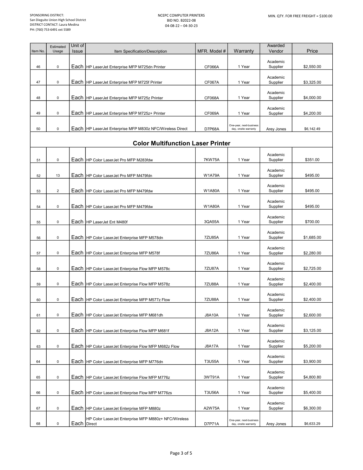| Item No. | Estimated<br>Usage  | Unit of<br><b>Issue</b> | Item Specification/Description                              | MFR. Model #  | Warranty                                        | Awarded<br>Vendor    | Price      |
|----------|---------------------|-------------------------|-------------------------------------------------------------|---------------|-------------------------------------------------|----------------------|------------|
| 46       | 0                   |                         | Each   HP LaserJet Enterprise MFP M725dn Printer            | <b>CF066A</b> | 1 Year                                          | Academic<br>Supplier | \$2,550.00 |
|          |                     |                         |                                                             |               | 1 Year                                          | Academic<br>Supplier |            |
| 47       | 0                   |                         | Each   HP LaserJet Enterprise MFP M725f Printer             | <b>CF067A</b> |                                                 | Academic             | \$3,325.00 |
| 48       | 0                   |                         | Each   HP LaserJet Enterprise MFP M725z Printer             | CF068A        | 1 Year                                          | Supplier             | \$4,000.00 |
| 49       | 0                   |                         | Each   HP LaserJet Enterprise MFP M725z+ Printer            | CF069A        | 1 Year                                          | Academic<br>Supplier | \$4,200.00 |
| 50       | $\mathbf 0$         |                         | Each   HP LaserJet Enterprise MFP M830z NFC/Wireless Direct | <b>D7P68A</b> | One-year, next-business<br>day, onsite warranty | Arey Jones           | \$6,142.49 |
|          |                     |                         | <b>Color Multifunction Laser Printer</b>                    |               |                                                 |                      |            |
| 51       | $\mathbf 0$         |                         | Each IHP Color LaserJet Pro MFP M283fdw                     | <b>7KW75A</b> | 1 Year                                          | Academic<br>Supplier | \$351.00   |
| 52       | 13                  |                         | Each HP Color LaserJet Pro MFP M479fdn                      | W1A79A        | 1 Year                                          | Academic<br>Supplier | \$495.00   |
| 53       | $\overline{2}$      |                         | Each   HP Color LaserJet Pro MFP M479fdw                    | <b>W1A80A</b> | 1 Year                                          | Academic<br>Supplier | \$495.00   |
| 54       | $\mathsf 0$         | Each                    | HP Color LaserJet Pro MFP M479fdw                           | <b>W1A80A</b> | 1 Year                                          | Academic<br>Supplier | \$495.00   |
| 55       | $\mathbf 0$         |                         | Each   HP LaserJet Ent M480f                                | 3QA55A        | 1 Year                                          | Academic<br>Supplier | \$700.00   |
| 56       | 0                   |                         | Each   HP Color LaserJet Enterprise MFP M578dn              | <b>7ZU85A</b> | 1 Year                                          | Academic<br>Supplier | \$1,685.00 |
| 57       | 0                   |                         | Each   HP Color LaserJet Enterprise MFP M578f               | <b>7ZU86A</b> | 1 Year                                          | Academic<br>Supplier | \$2,280.00 |
| 58       | $\mathsf 0$         |                         | Each   HP Color LaserJet Enterprise Flow MFP M578c          | 7ZU87A        | 1 Year                                          | Academic<br>Supplier | \$2,725.00 |
| 59       | 0                   |                         | Each   HP Color LaserJet Enterprise Flow MFP M578z          | 7ZU88A        | 1 Year                                          | Academic<br>Supplier | \$2,400.00 |
| 60       | 0                   |                         | Each   HP Color LaserJet Enterprise MFP M577z Flow          | <b>7ZU88A</b> | 1 Year                                          | Academic<br>Supplier | \$2,400.00 |
| 61       | $\mathsf 0$         |                         | Each   HP Color LaserJet Enterprise MFP M681dh              | <b>J8A10A</b> | 1 Year                                          | Academic<br>Supplier | \$2,600.00 |
| 62       | 0                   |                         | Each HP Color LaserJet Enterprise Flow MFP M681f            | <b>J8A12A</b> | 1 Year                                          | Academic<br>Supplier | \$3,125.00 |
| 63       | $\mathsf 0$         |                         | Each   HP Color LaserJet Enterprise Flow MFP M682z Flow     | <b>J8A17A</b> | 1 Year                                          | Academic<br>Supplier | \$5,200.00 |
| 64       | $\pmb{0}$           |                         | Each HP Color LaserJet Enterprise MFP M776dn                | <b>T3U55A</b> | 1 Year                                          | Academic<br>Supplier | \$3,900.00 |
| 65       | $\mathsf{O}\xspace$ |                         | Each HP Color Laser Jet Enterprise Flow MFP M776z           | 3WT91A        | 1 Year                                          | Academic<br>Supplier | \$4,800.80 |
| 66       | $\mathsf 0$         |                         | Each   HP Color LaserJet Enterprise Flow MFP M776zs         | <b>T3U56A</b> | 1 Year                                          | Academic<br>Supplier | \$5,400.00 |
| 67       | 0                   |                         | Each   HP Color LaserJet Enterprise MFP M880z               | A2W75A        | 1 Year                                          | Academic<br>Supplier | \$6,300.00 |
| 68       | $\pmb{0}$           | Each   Direct           | HP Color LaserJet Enterprise MFP M880z+ NFC/Wireless        | D7P71A        | One-year, next-business<br>day, onsite warranty | Arey Jones           | \$6,633.29 |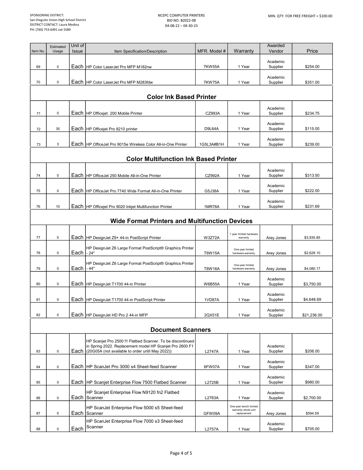| Item No.                                              | Estimated<br>Usage | Unit of<br><b>Issue</b> | Item Specification/Description                                                                                                                                                  | MFR. Model #  | Warranty                                                     | Awarded<br>Vendor    | Price       |  |
|-------------------------------------------------------|--------------------|-------------------------|---------------------------------------------------------------------------------------------------------------------------------------------------------------------------------|---------------|--------------------------------------------------------------|----------------------|-------------|--|
| 69                                                    | $\mathbf 0$        |                         | Each HP Color LaserJet Pro MFP M182nw                                                                                                                                           | 7KW55A        | 1 Year                                                       | Academic<br>Supplier | \$254.00    |  |
| 70                                                    | 0                  |                         | Each IHP Color LaserJet Pro MFP M283fdw                                                                                                                                         | <b>7KW75A</b> | 1 Year                                                       | Academic<br>Supplier | \$351.00    |  |
| <b>Color Ink Based Printer</b>                        |                    |                         |                                                                                                                                                                                 |               |                                                              |                      |             |  |
|                                                       |                    |                         |                                                                                                                                                                                 |               |                                                              |                      |             |  |
| 71                                                    | $\mathbf 0$        |                         | Each   HP Officejet 200 Mobile Printer                                                                                                                                          | CZ993A        | 1 Year                                                       | Academic<br>Supplier | \$234.75    |  |
| 72                                                    | 35                 |                         | Each   HP Officejet Pro 8210 printer                                                                                                                                            | D9L64A        | 1 Year                                                       | Academic<br>Supplier | \$115.00    |  |
| 73                                                    | 3                  |                         | Each  HP OfficeJet Pro 9015e Wireless Color All-in-One Printer                                                                                                                  | 1G5L3A#B1H    | 1 Year                                                       | Academic<br>Supplier | \$239.00    |  |
|                                                       |                    |                         | <b>Color Multifunction Ink Based Printer</b>                                                                                                                                    |               |                                                              |                      |             |  |
|                                                       |                    |                         |                                                                                                                                                                                 |               |                                                              | Academic             |             |  |
| 74                                                    | $\pmb{0}$          |                         | Each   HP OfficeJet 250 Mobile All-in-One Printer                                                                                                                               | CZ992A        | 1 Year                                                       | Supplier             | \$313.50    |  |
|                                                       |                    |                         |                                                                                                                                                                                 |               |                                                              | Academic             |             |  |
| 75                                                    | 0                  |                         | Each   HP OfficeJet Pro 7740 Wide Format All-in-One Printer                                                                                                                     | G5J38A        | 1 Year                                                       | Supplier             | \$222.00    |  |
|                                                       |                    |                         |                                                                                                                                                                                 |               |                                                              | Academic             |             |  |
| 76                                                    | 10                 |                         | Each   HP Officejet Pro 9020 Inkjet Multifunction Printer                                                                                                                       | 1MR78A        | 1 Year                                                       | Supplier             | \$231.69    |  |
| <b>Wide Format Printers and Multifunction Devices</b> |                    |                         |                                                                                                                                                                                 |               |                                                              |                      |             |  |
|                                                       |                    |                         |                                                                                                                                                                                 |               |                                                              |                      |             |  |
| 77                                                    | 0                  |                         | Each   HP DesignJet Z9+ 44-in PostScript Printer                                                                                                                                | <b>W3Z72A</b> | 1 year limited hardware<br>warranty                          | Arey Jones           | \$3,935.85  |  |
| 78                                                    | 0                  | Each  - 24"             | HP DesignJet Z6 Large Format PostScript® Graphics Printer                                                                                                                       | T8W15A        | One-year limited<br>hardware warranty                        | Arey Jones           | \$2,628.10  |  |
| 79                                                    | $\pmb{0}$          | Each                    | HP DesignJet Z6 Large Format PostScript® Graphics Printer<br>$-44"$                                                                                                             | <b>T8W16A</b> | One-year limited<br>hardware warranty                        | Arey Jones           | \$4,080.17  |  |
| 80                                                    | $\pmb{0}$          |                         | Each   HP DesignJet T1700 44-in Printer                                                                                                                                         | <b>W6B55A</b> | 1 Year                                                       | Academic<br>Supplier | \$3,750.00  |  |
| 81                                                    | 0                  |                         | Each   HP DesignJet T1700 44-in PostScript Printer                                                                                                                              | 1VD87A        | 1 Year                                                       | Academic<br>Supplier | \$4,648.69  |  |
| 82                                                    | $\pmb{0}$          |                         | Each   HP DesignJet HD Pro 2 44-in MFP                                                                                                                                          | 2QX51E        | 1 Year                                                       | Academic<br>Supplier | \$21,236.00 |  |
|                                                       |                    |                         | <b>Document Scanners</b>                                                                                                                                                        |               |                                                              |                      |             |  |
|                                                       |                    |                         |                                                                                                                                                                                 |               |                                                              |                      |             |  |
| 83                                                    | 0                  |                         | HP Scanjet Pro 2500 f1 Flatbed Scanner. To be discontinued<br>in Spring 2022. Replacement model HP Scanjet Pro 2600 F1<br>Each (20G05A (not available to order until May 2022)) | L2747A        | 1 Year                                                       | Academic<br>Supplier | \$206.00    |  |
| 84                                                    | $\pmb{0}$          |                         | Each HP ScanJet Pro 3000 s4 Sheet-feed Scanner                                                                                                                                  | 6FW07A        | 1 Year                                                       | Academic<br>Supplier | \$347.00    |  |
| 85                                                    | 0                  |                         | Each   HP Scanjet Enterprise Flow 7500 Flatbed Scanner                                                                                                                          | L2725B        | 1 Year                                                       | Academic<br>Supplier | \$980.00    |  |
| 86                                                    | $\pmb{0}$          |                         | HP Scanjet Enterprise Flow N9120 fn2 Flatbed<br>Each Scanner                                                                                                                    | L2763A        | 1 Year                                                       | Academic<br>Supplier | \$2,700.00  |  |
| 87                                                    | 0                  |                         | HP ScanJet Enterprise Flow 5000 s5 Sheet-feed<br>Each Scanner                                                                                                                   | GFW09A        | One-year bench limited<br>warranty whole unit<br>replacement | Arey Jones           | \$594.59    |  |
| 88                                                    | $\pmb{0}$          | Each                    | HP ScanJet Enterprise Flow 7000 s3 Sheet-feed<br>Scanner                                                                                                                        | L2757A        | 1 Year                                                       | Academic<br>Supplier | \$705.00    |  |